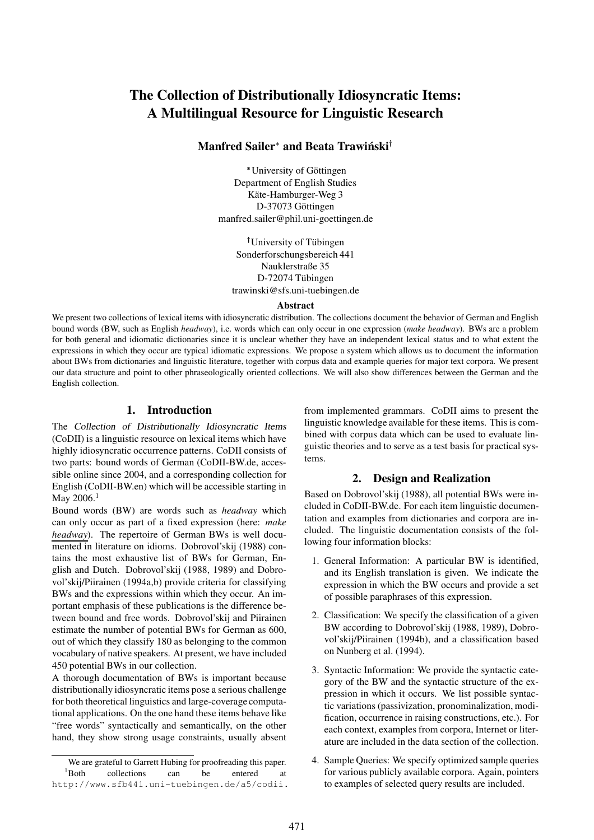# **The Collection of Distributionally Idiosyncratic Items: A Multilingual Resource for Linguistic Research**

# **Manfred Sailer and Beata Trawinski ´**

\* University of Göttingen Department of English Studies Käte-Hamburger-Weg 3 D-37073 Göttingen manfred.sailer@phil.uni-goettingen.de

<sup>†</sup>University of Tübingen Sonderforschungsbereich 441 Nauklerstraße 35 D-72074 Tübingen trawinski@sfs.uni-tuebingen.de

#### **Abstract**

We present two collections of lexical items with idiosyncratic distribution. The collections document the behavior of German and English bound words (BW, such as English *headway*), i.e. words which can only occur in one expression (*make headway*). BWs are a problem for both general and idiomatic dictionaries since it is unclear whether they have an independent lexical status and to what extent the expressions in which they occur are typical idiomatic expressions. We propose a system which allows us to document the information about BWs from dictionaries and linguistic literature, together with corpus data and example queries for major text corpora. We present our data structure and point to other phraseologically oriented collections. We will also show differences between the German and the English collection.

# **1. Introduction**

The Collection of Distributionally Idiosyncratic Items (CoDII) is a linguistic resource on lexical items which have highly idiosyncratic occurrence patterns. CoDII consists of two parts: bound words of German (CoDII-BW.de, accessible online since 2004, and a corresponding collection for English (CoDII-BW.en) which will be accessible starting in May  $2006.<sup>1</sup>$ 

Bound words (BW) are words such as *headway* which can only occur as part of a fixed expression (here: *make headway*). The repertoire of German BWs is well documented in literature on idioms. Dobrovol'skij (1988) contains the most exhaustive list of BWs for German, English and Dutch. Dobrovol'skij (1988, 1989) and Dobrovol'skij/Piirainen (1994a,b) provide criteria for classifying BWs and the expressions within which they occur. An important emphasis of these publications is the difference between bound and free words. Dobrovol'skij and Piirainen estimate the number of potential BWs for German as 600, out of which they classify 180 as belonging to the common vocabulary of native speakers. At present, we have included 450 potential BWs in our collection.

A thorough documentation of BWs is important because distributionally idiosyncratic items pose a serious challenge for both theoretical linguistics and large-coverage computational applications. On the one hand these items behave like "free words" syntactically and semantically, on the other hand, they show strong usage constraints, usually absent

from implemented grammars. CoDII aims to present the linguistic knowledge available for these items. This is combined with corpus data which can be used to evaluate linguistic theories and to serve as a test basis for practical systems.

### **2. Design and Realization**

Based on Dobrovol'skij (1988), all potential BWs were included in CoDII-BW.de. For each item linguistic documentation and examples from dictionaries and corpora are included. The linguistic documentation consists of the following four information blocks:

- 1. General Information: A particular BW is identified, and its English translation is given. We indicate the expression in which the BW occurs and provide a set of possible paraphrases of this expression.
- 2. Classification: We specify the classification of a given BW according to Dobrovol'skij (1988, 1989), Dobrovol'skij/Piirainen (1994b), and a classification based on Nunberg et al. (1994).
- 3. Syntactic Information: We provide the syntactic category of the BW and the syntactic structure of the expression in which it occurs. We list possible syntactic variations (passivization, pronominalization, modification, occurrence in raising constructions, etc.). For each context, examples from corpora, Internet or literature are included in the data section of the collection.
- 4. Sample Queries: We specify optimized sample queries for various publicly available corpora. Again, pointers to examples of selected query results are included.

We are grateful to Garrett Hubing for proofreading this paper. <sup>1</sup>Both collections can be entered at http://www.sfb441.uni-tuebingen.de/a5/codii.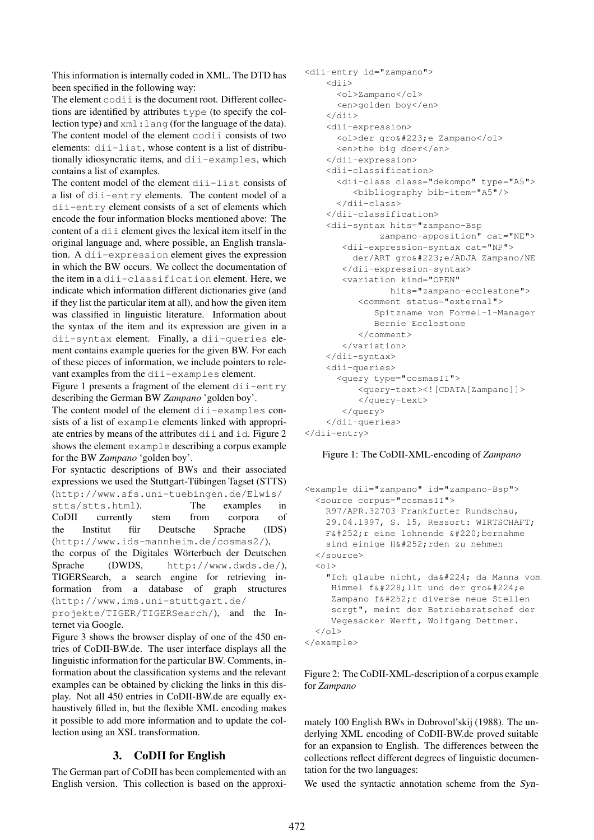This information is internally coded in XML. The DTD has been specified in the following way:

The element codii is the document root. Different collections are identified by attributes type (to specify the collection type) and xml:lang (for the language of the data). The content model of the element codii consists of two elements: dii-list, whose content is a list of distributionally idiosyncratic items, and dii-examples, which contains a list of examples.

The content model of the element  $di$  i  $-1$  i st consists of a list of dii-entry elements. The content model of a dii-entry element consists of a set of elements which encode the four information blocks mentioned above: The content of a dii element gives the lexical item itself in the original language and, where possible, an English translation. A dii-expression element gives the expression in which the BW occurs. We collect the documentation of the item in a dii-classification element. Here, we indicate which information different dictionaries give (and if they list the particular item at all), and how the given item was classified in linguistic literature. Information about the syntax of the item and its expression are given in a dii-syntax element. Finally, a dii-queries element contains example queries for the given BW. For each of these pieces of information, we include pointers to relevant examples from the dii-examples element.

Figure 1 presents a fragment of the element dii-entry describing the German BW *Zampano* 'golden boy'.

The content model of the element dii-examples consists of a list of example elements linked with appropriate entries by means of the attributes dii and id. Figure 2 shows the element example describing a corpus example for the BW *Zampano* 'golden boy'.

For syntactic descriptions of BWs and their associated expressions we used the Stuttgart-Tübingen Tagset (STTS) (http://www.sfs.uni-tuebingen.de/Elwis/

stts/stts.html). The examples in CoDII currently stem from corpora of the Institut für Deutsche Sprache (IDS) (http://www.ids-mannheim.de/cosmas2/),

the corpus of the Digitales Wörterbuch der Deutschen Sprache (DWDS, http://www.dwds.de/), TIGERSearch, a search engine for retrieving information from a database of graph structures (http://www.ims.uni-stuttgart.de/

projekte/TIGER/TIGERSearch/), and the Internet via Google.

Figure 3 shows the browser display of one of the 450 entries of CoDII-BW.de. The user interface displays all the linguistic information for the particular BW. Comments, information about the classification systems and the relevant examples can be obtained by clicking the links in this display. Not all 450 entries in CoDII-BW.de are equally exhaustively filled in, but the flexible XML encoding makes it possible to add more information and to update the collection using an XSL transformation.

# **3. CoDII for English**

The German part of CoDII has been complemented with an English version. This collection is based on the approxi-

```
<dii-entry id="zampano">
    <dii>
      <ol>Zampano</ol>
     <en>golden boy</en>
    </dii>
    <dii-expression>
     <ol>der gro&#223;e Zampano</ol>
      <en>the big doer</en>
    </dii-expression>
    <dii-classification>
      <dii-class class="dekompo" type="A5">
         <bibliography bib-item="A5"/>
      </dii-class>
    </dii-classification>
    <dii-syntax hits="zampano-Bsp
              zampano-apposition" cat="NE">
       <dii-expression-syntax cat="NP">
         der/ART groß e/ADJA Zampano/NE
       </dii-expression-syntax>
       <variation kind="OPEN"
               hits="zampano-ecclestone">
          <comment status="external">
             Spitzname von Formel-1-Manager
             Bernie Ecclestone
          </comment>
       </variation>
    </dii-syntax>
    <dii-queries>
      <query type="cosmasII">
          <query-text><![CDATA[Zampano]]>
          </query-text>
       </query>
    </dii-queries>
</dii-entry>
```
#### Figure 1: The CoDII-XML-encoding of *Zampano*

```
<example dii="zampano" id="zampano-Bsp">
 <source corpus="cosmasII">
   R97/APR.32703 Frankfurter Rundschau,
   29.04.1997, S. 15, Ressort: WIRTSCHAFT;
   F\&\#252; r eine lohnende \&\#220;bernahme
   sind einige Hü rden zu nehmen
 </source>
 \langle 01 >"Ich glaube nicht, daà da Manna vom
    Himmel fä11t und der groàe
    Zampano fü r diverse neue Stellen
    sorgt", meint der Betriebsratschef der
    Vegesacker Werft, Wolfgang Dettmer.
 \langle/01>
</example>
```
Figure 2: The CoDII-XML-description of a corpus example for *Zampano*

mately 100 English BWs in Dobrovol'skij (1988). The underlying XML encoding of CoDII-BW.de proved suitable for an expansion to English. The differences between the collections reflect different degrees of linguistic documentation for the two languages:

We used the syntactic annotation scheme from the Syn-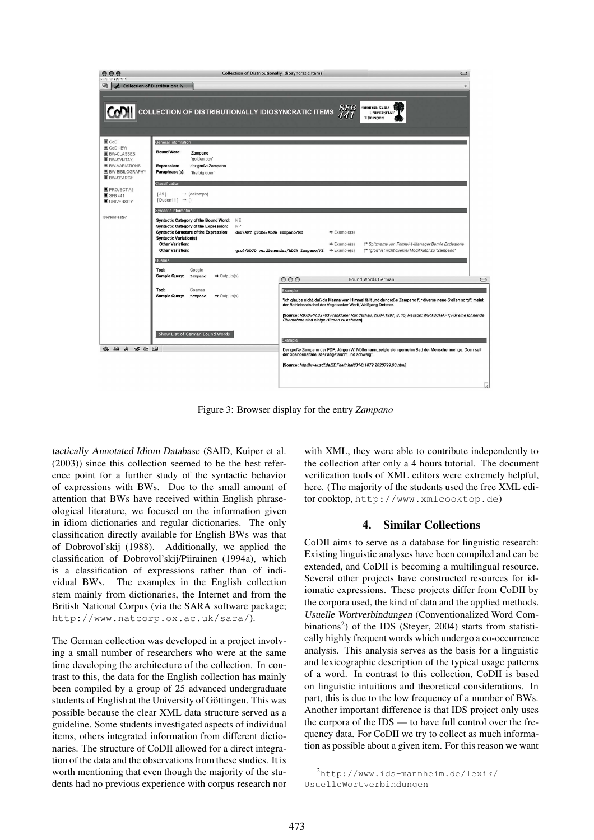

Figure 3: Browser display for the entry *Zampano*

tactically Annotated Idiom Database (SAID, Kuiper et al. (2003)) since this collection seemed to be the best reference point for a further study of the syntactic behavior of expressions with BWs. Due to the small amount of attention that BWs have received within English phraseological literature, we focused on the information given in idiom dictionaries and regular dictionaries. The only classification directly available for English BWs was that of Dobrovol'skij (1988). Additionally, we applied the classification of Dobrovol'skij/Piirainen (1994a), which is a classification of expressions rather than of individual BWs. The examples in the English collection stem mainly from dictionaries, the Internet and from the British National Corpus (via the SARA software package; http://www.natcorp.ox.ac.uk/sara/).

The German collection was developed in a project involving a small number of researchers who were at the same time developing the architecture of the collection. In contrast to this, the data for the English collection has mainly been compiled by a group of 25 advanced undergraduate students of English at the University of Göttingen. This was possible because the clear XML data structure served as a guideline. Some students investigated aspects of individual items, others integrated information from different dictionaries. The structure of CoDII allowed for a direct integration of the data and the observationsfrom these studies. It is worth mentioning that even though the majority of the students had no previous experience with corpus research nor

with XML, they were able to contribute independently to the collection after only a 4 hours tutorial. The document verification tools of XML editors were extremely helpful, here. (The majority of the students used the free XML editor cooktop, http://www.xmlcooktop.de)

### **4. Similar Collections**

CoDII aims to serve as a database for linguistic research: Existing linguistic analyses have been compiled and can be extended, and CoDII is becoming a multilingual resource. Several other projects have constructed resources for idiomatic expressions. These projects differ from CoDII by the corpora used, the kind of data and the applied methods. Usuelle Wortverbindungen (Conventionalized Word Combinations<sup>2</sup>) of the IDS (Steyer, 2004) starts from statistically highly frequent words which undergo a co-occurrence analysis. This analysis serves as the basis for a linguistic and lexicographic description of the typical usage patterns of a word. In contrast to this collection, CoDII is based on linguistic intuitions and theoretical considerations. In part, this is due to the low frequency of a number of BWs. Another important difference is that IDS project only uses the corpora of the IDS — to have full control over the frequency data. For CoDII we try to collect as much information as possible about a given item. For this reason we want

<sup>2</sup>http://www.ids-mannheim.de/lexik/ UsuelleWortverbindungen